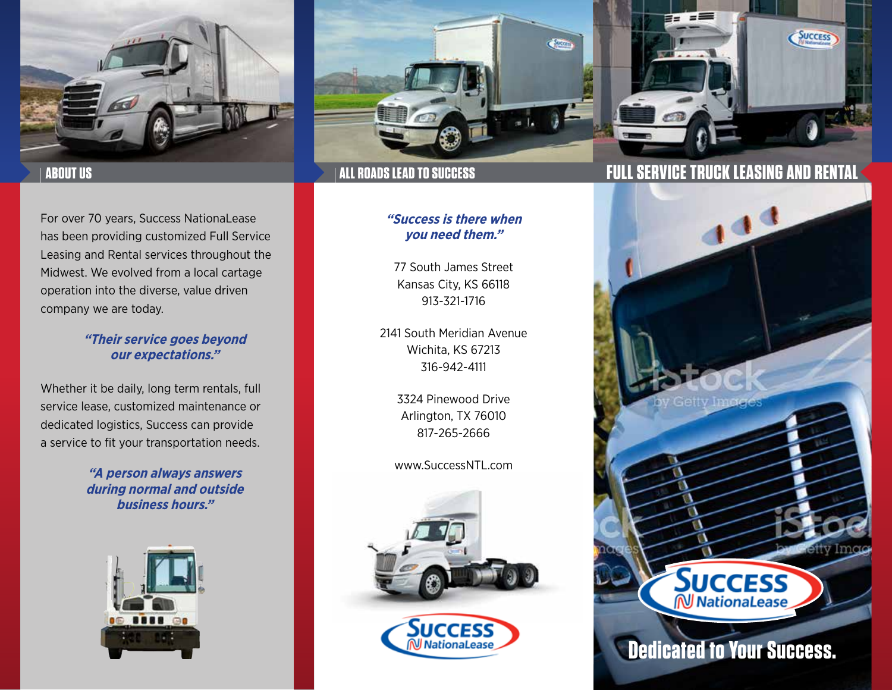



For over 70 years, Success NationaLease has been providing customized Full Service Leasing and Rental services throughout the Midwest. We evolved from a local cartage operation into the diverse, value driven company we are today.

## **"Their service goes beyond our expectations."**

Whether it be daily, long term rentals, full service lease, customized maintenance or dedicated logistics, Success can provide a service to fit your transportation needs.

> **"A person always answers during normal and outside business hours."**





## **"Success is there when you need them."**

77 South James Street Kansas City, KS 66118 913-321-1716

2141 South Meridian Avenue Wichita, KS 67213 316-942-4111

> 3324 Pinewood Drive Arlington, TX 76010 817-265-2666

www.SuccessNTL.com



# **ABOUT US ALL ROADS LEAD TO SUCCESS FULL SERVICE TRUCK LEASING AND RENTAL**